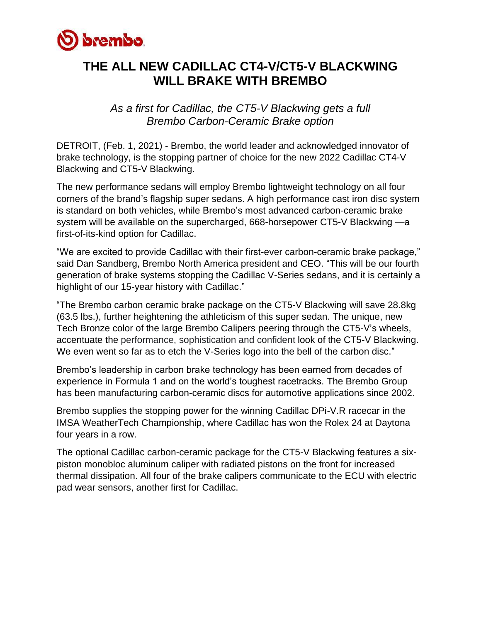

# **THE ALL NEW CADILLAC CT4-V/CT5-V BLACKWING WILL BRAKE WITH BREMBO**

*As a first for Cadillac, the CT5-V Blackwing gets a full Brembo Carbon-Ceramic Brake option* 

DETROIT, (Feb. 1, 2021) - Brembo, the world leader and acknowledged innovator of brake technology, is the stopping partner of choice for the new 2022 Cadillac CT4-V Blackwing and CT5-V Blackwing.

The new performance sedans will employ Brembo lightweight technology on all four corners of the brand's flagship super sedans. A high performance cast iron disc system is standard on both vehicles, while Brembo's most advanced carbon-ceramic brake system will be available on the supercharged, 668-horsepower CT5-V Blackwing —a first-of-its-kind option for Cadillac.

"We are excited to provide Cadillac with their first-ever carbon-ceramic brake package," said Dan Sandberg, Brembo North America president and CEO. "This will be our fourth generation of brake systems stopping the Cadillac V-Series sedans, and it is certainly a highlight of our 15-year history with Cadillac."

"The Brembo carbon ceramic brake package on the CT5-V Blackwing will save 28.8kg (63.5 lbs.), further heightening the athleticism of this super sedan. The unique, new Tech Bronze color of the large Brembo Calipers peering through the CT5-V's wheels, accentuate the performance, sophistication and confident look of the CT5-V Blackwing. We even went so far as to etch the V-Series logo into the bell of the carbon disc."

Brembo's leadership in carbon brake technology has been earned from decades of experience in Formula 1 and on the world's toughest racetracks. The Brembo Group has been manufacturing carbon-ceramic discs for automotive applications since 2002.

Brembo supplies the stopping power for the winning Cadillac DPi-V.R racecar in the IMSA WeatherTech Championship, where Cadillac has won the Rolex 24 at Daytona four years in a row.

The optional Cadillac carbon-ceramic package for the CT5-V Blackwing features a sixpiston monobloc aluminum caliper with radiated pistons on the front for increased thermal dissipation. All four of the brake calipers communicate to the ECU with electric pad wear sensors, another first for Cadillac.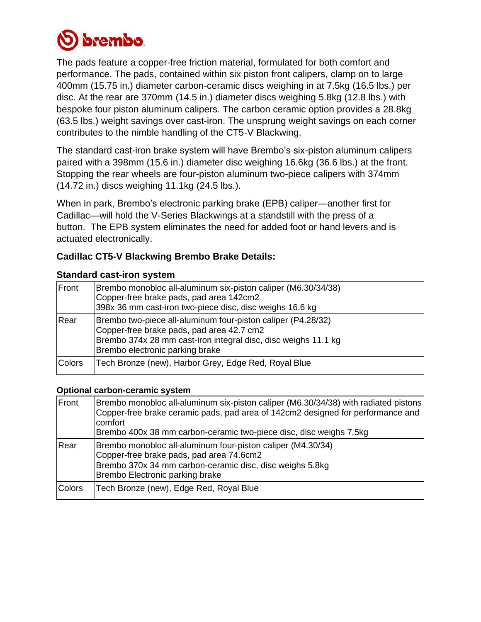

The pads feature a copper-free friction material, formulated for both comfort and performance. The pads, contained within six piston front calipers, clamp on to large 400mm (15.75 in.) diameter carbon-ceramic discs weighing in at 7.5kg (16.5 lbs.) per disc. At the rear are 370mm (14.5 in.) diameter discs weighing 5.8kg (12.8 lbs.) with bespoke four piston aluminum calipers. The carbon ceramic option provides a 28.8kg (63.5 lbs.) weight savings over cast-iron. The unsprung weight savings on each corner contributes to the nimble handling of the CT5-V Blackwing.

The standard cast-iron brake system will have Brembo's six-piston aluminum calipers paired with a 398mm (15.6 in.) diameter disc weighing 16.6kg (36.6 lbs.) at the front. Stopping the rear wheels are four-piston aluminum two-piece calipers with 374mm (14.72 in.) discs weighing 11.1kg (24.5 lbs.).

When in park, Brembo's electronic parking brake (EPB) caliper—another first for Cadillac—will hold the V-Series Blackwings at a standstill with the press of a button. The EPB system eliminates the need for added foot or hand levers and is actuated electronically.

## **Cadillac CT5-V Blackwing Brembo Brake Details:**

#### **Standard cast-iron system**

| Front         | Brembo monobloc all-aluminum six-piston caliper (M6.30/34/38)<br>Copper-free brake pads, pad area 142cm2<br>398x 36 mm cast-iron two-piece disc, disc weighs 16.6 kg                                           |
|---------------|----------------------------------------------------------------------------------------------------------------------------------------------------------------------------------------------------------------|
| Rear          | Brembo two-piece all-aluminum four-piston caliper (P4.28/32)<br>Copper-free brake pads, pad area 42.7 cm2<br>Brembo 374x 28 mm cast-iron integral disc, disc weighs 11.1 kg<br>Brembo electronic parking brake |
| <b>Colors</b> | Tech Bronze (new), Harbor Grey, Edge Red, Royal Blue                                                                                                                                                           |

#### **Optional carbon-ceramic system**

| Front         | Brembo monobloc all-aluminum six-piston caliper (M6.30/34/38) with radiated pistons<br>Copper-free brake ceramic pads, pad area of 142cm2 designed for performance and<br>comfort<br>Brembo 400x 38 mm carbon-ceramic two-piece disc, disc weighs 7.5kg |
|---------------|---------------------------------------------------------------------------------------------------------------------------------------------------------------------------------------------------------------------------------------------------------|
| Rear          | Brembo monobloc all-aluminum four-piston caliper (M4.30/34)<br>Copper-free brake pads, pad area 74.6cm2<br>Brembo 370x 34 mm carbon-ceramic disc, disc weighs 5.8kg<br>Brembo Electronic parking brake                                                  |
| <b>Colors</b> | Tech Bronze (new), Edge Red, Royal Blue                                                                                                                                                                                                                 |